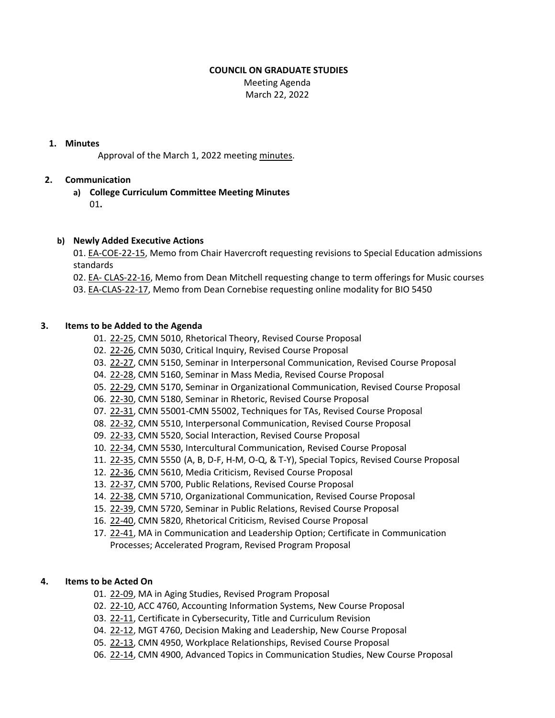## **COUNCIL ON GRADUATE STUDIES**

 Meeting Agenda March 22, 2022

## **1. Minutes**

Approval of the March 1, 2022 meeting [minutes.](https://castle.eiu.edu/eiucgs/currentminutes/Minutes3-1-22.pdf)

# **2. Communication**

**a) College Curriculum Committee Meeting Minutes**  $01.$ 

## **b) Newly Added Executive Actions**

01. EA‐[COE](https://castle.eiu.edu/eiucgs/exec-actions/EA-COE-22-15.pdf)‐22‐15, Memo from Chair Havercroft requesting revisions to Special Education admissions standards

02. EA‐ [CLAS](https://castle.eiu.edu/eiucgs/exec-actions/EA-CLAS-22-16.pdf)‐22‐16, Memo from Dean Mitchell requesting change to term offerings for Music courses 03. EA‐[CLAS](https://castle.eiu.edu/eiucgs/exec-actions/EA-CLAS-22-17.pdf)‐22‐17, Memo from Dean Cornebise requesting online modality for BIO 5450

#### **3. Items to be Added to the Agenda**

- 01. 22‐[25,](https://castle.eiu.edu/eiucgs/currentagendaitems/agenda22-25.pdf) CMN 5010, Rhetorical Theory, Revised Course Proposal
- 02. 22‐[26,](https://castle.eiu.edu/eiucgs/currentagendaitems/agenda22-26.pdf) CMN 5030, Critical Inquiry, Revised Course Proposal
- 03. 22-[27,](https://castle.eiu.edu/eiucgs/currentagendaitems/agenda22-27.pdf) CMN 5150, Seminar in Interpersonal Communication, Revised Course Proposal
- 04. 22‐[28,](https://castle.eiu.edu/eiucgs/currentagendaitems/agenda22-28.pdf) CMN 5160, Seminar in Mass Media, Revised Course Proposal
- 05. 22‐[29,](https://castle.eiu.edu/eiucgs/currentagendaitems/agenda22-29.pdf) CMN 5170, Seminar in Organizational Communication, Revised Course Proposal
- 06. 22‐[30,](https://castle.eiu.edu/eiucgs/currentagendaitems/agenda22-30.pdf) CMN 5180, Seminar in Rhetoric, Revised Course Proposal
- 07. 22‐[31,](https://castle.eiu.edu/eiucgs/currentagendaitems/agenda22-31.pdf) CMN 55001‐CMN 55002, Techniques for TAs, Revised Course Proposal
- 08. 22‐[32,](https://castle.eiu.edu/eiucgs/currentagendaitems/agenda22-32.pdf) CMN 5510, Interpersonal Communication, Revised Course Proposal
- 09. 22‐[33,](https://castle.eiu.edu/eiucgs/currentagendaitems/agenda22-33.pdf) CMN 5520, Social Interaction, Revised Course Proposal
- 10. 22‐[34,](https://castle.eiu.edu/eiucgs/currentagendaitems/agenda22-34.pdf) CMN 5530, Intercultural Communication, Revised Course Proposal
- 11. 22‐[35,](https://castle.eiu.edu/eiucgs/currentagendaitems/agenda22-35.pdf) CMN 5550 (A, B, D‐F, H‐M, O‐Q, & T‐Y), Special Topics, Revised Course Proposal
- 12. 22‐[36,](https://castle.eiu.edu/eiucgs/currentagendaitems/agenda22-36.pdf) CMN 5610, Media Criticism, Revised Course Proposal
- 13. 22‐[37,](https://castle.eiu.edu/eiucgs/currentagendaitems/agenda22-37.pdf) CMN 5700, Public Relations, Revised Course Proposal
- 14. 22-[38,](https://castle.eiu.edu/eiucgs/currentagendaitems/agenda22-38.pdf) CMN 5710, Organizational Communication, Revised Course Proposal
- 15. 22-[39,](https://castle.eiu.edu/eiucgs/currentagendaitems/agenda22-39.pdf) CMN 5720, Seminar in Public Relations, Revised Course Proposal
- 16. [22](https://castle.eiu.edu/eiucgs/currentagendaitems/agenda22-40.pdf)‐40, CMN 5820, Rhetorical Criticism, Revised Course Proposal
- 17. 22-[41,](https://castle.eiu.edu/eiucgs/currentagendaitems/agenda22-41.pdf) MA in Communication and Leadership Option; Certificate in Communication Processes; Accelerated Program, Revised Program Proposal

#### **4. Items to be Acted On**

- 01. [22](https://castle.eiu.edu/eiucgs/currentagendaitems/agenda22-09.pdf)-09, MA in Aging Studies, Revised Program Proposal
- 02. 22-[10,](https://castle.eiu.edu/eiucgs/currentagendaitems/agenda22-10.pdf) ACC 4760, Accounting Information Systems, New Course Proposal
- 03. 22-[11,](https://castle.eiu.edu/eiucgs/currentagendaitems/agenda22-11.pdf) Certificate in Cybersecurity, Title and Curriculum Revision
- 04. 22-[12,](https://castle.eiu.edu/eiucgs/currentagendaitems/agenda22-12.pdf) MGT 4760, Decision Making and Leadership, New Course Proposal
- 05. 22-[13,](https://castle.eiu.edu/eiucgs/currentagendaitems/agenda22-13.pdf) CMN 4950, Workplace Relationships, Revised Course Proposal
- 06. 22-[14](https://castle.eiu.edu/eiucgs/currentagendaitems/agenda22-14.pdf), CMN 4900, Advanced Topics in Communication Studies, New Course Proposal